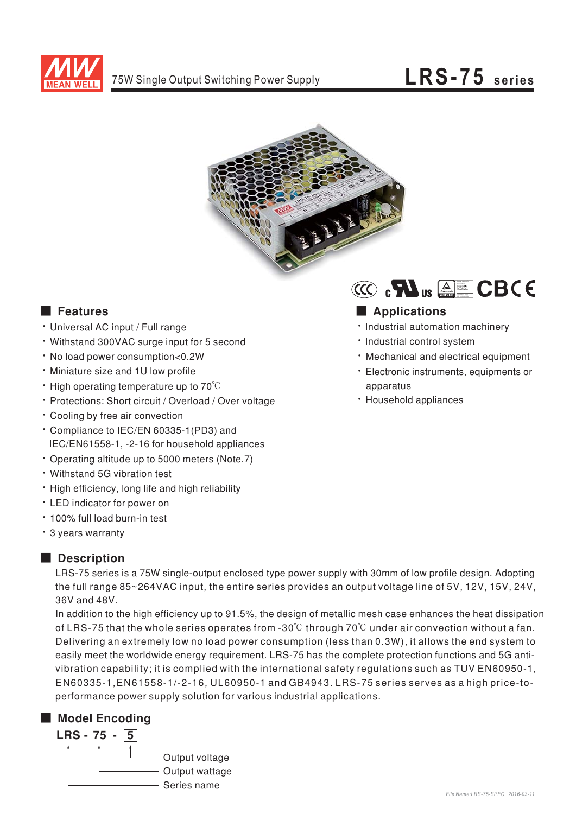

# LRS-75 series



# **E** Features

- · Universal AC input / Full range
- Withstand 300VAC surge input for 5 second
- . No load power consumption<0.2W
- · Miniature size and 1U low profile
- $\cdot$  High operating temperature up to 70 $\degree$ C
- \* Protections: Short circuit / Overload / Over voltage
- Cooling by free air convection
- \* Compliance to IEC/EN 60335-1(PD3) and IEC/EN61558-1, -2-16 for household appliances
- Operating altitude up to 5000 meters (Note.7)
- Withstand 5G vibration test
- High efficiency, long life and high reliability
- LED indicator for power on
- . 100% full load burn-in test
- \* 3 years warranty

## **Description**

LRS-75 series is a 75W single-output enclosed type power supply with 30mm of low profile design. Adopting the full range 85~264VAC input, the entire series provides an output voltage line of 5V, 12V, 15V, 24V, 36V and 48V.

In addition to the high efficiency up to 91.5%, the design of metallic mesh case enhances the heat dissipation of LRS-75 that the whole series operates from -30 $^{\circ}$ C through 70 $^{\circ}$ C under air convection without a fan. Delivering an extremely low no load power consumption (less than 0.3W), it allows the end system to easily meet the worldwide energy requirement. LRS-75 has the complete protection functions and 5G antivibration capability; it is complied with the international safety regulations such as TUV EN60950-1, EN60335-1, EN61558-1/-2-16, UL60950-1 and GB4943. LRS-75 series serves as a high price-toperformance power supply solution for various industrial applications.

## Model Encoding





# Applications

- · Industrial automation machinery
- · Industrial control system
- . Mechanical and electrical equipment
- · Electronic instruments, equipments or apparatus
- · Household appliances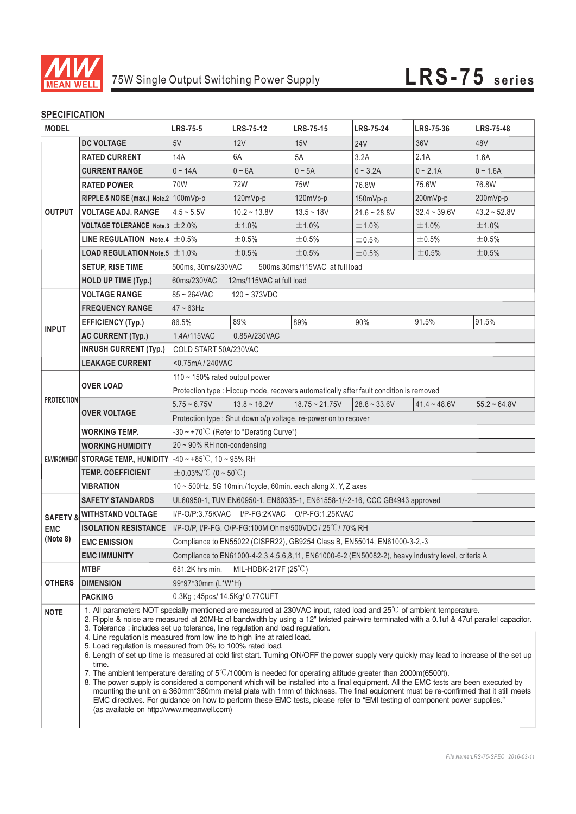

## **SPECIFICATION**

| <b>MODEL</b>           |                                                                                                                                                                                                                                                                                                                                                                                                                                                                                                                                                                                                                                                                                                                                                                                                                                                                                                                                                                                                                                                                                                                                                                                                                                                    | <b>LRS-75-5</b>                                                                                   | <b>LRS-75-12</b> | <b>LRS-75-15</b>       | <b>LRS-75-24</b> | <b>LRS-75-36</b> | <b>LRS-75-48</b>     |  |
|------------------------|----------------------------------------------------------------------------------------------------------------------------------------------------------------------------------------------------------------------------------------------------------------------------------------------------------------------------------------------------------------------------------------------------------------------------------------------------------------------------------------------------------------------------------------------------------------------------------------------------------------------------------------------------------------------------------------------------------------------------------------------------------------------------------------------------------------------------------------------------------------------------------------------------------------------------------------------------------------------------------------------------------------------------------------------------------------------------------------------------------------------------------------------------------------------------------------------------------------------------------------------------|---------------------------------------------------------------------------------------------------|------------------|------------------------|------------------|------------------|----------------------|--|
|                        | <b>DC VOLTAGE</b>                                                                                                                                                                                                                                                                                                                                                                                                                                                                                                                                                                                                                                                                                                                                                                                                                                                                                                                                                                                                                                                                                                                                                                                                                                  | 5V                                                                                                | 12V              | 15V                    | <b>24V</b>       | 36V              | 48V                  |  |
| <b>OUTPUT</b>          | <b>RATED CURRENT</b>                                                                                                                                                                                                                                                                                                                                                                                                                                                                                                                                                                                                                                                                                                                                                                                                                                                                                                                                                                                                                                                                                                                                                                                                                               | 14A                                                                                               | 6A               | 5A                     | 3.2A             | 2.1A             | 1.6A                 |  |
|                        | <b>CURRENT RANGE</b>                                                                                                                                                                                                                                                                                                                                                                                                                                                                                                                                                                                                                                                                                                                                                                                                                                                                                                                                                                                                                                                                                                                                                                                                                               | $0 - 14A$                                                                                         | $0 - 6A$         | $0 \sim 5A$            | $0 - 3.2A$       | $0 - 2.1A$       | $0 - 1.6A$           |  |
|                        | <b>RATED POWER</b>                                                                                                                                                                                                                                                                                                                                                                                                                                                                                                                                                                                                                                                                                                                                                                                                                                                                                                                                                                                                                                                                                                                                                                                                                                 | 70W                                                                                               | 72W              | 75W                    | 76.8W            | 75.6W            | 76.8W                |  |
|                        | RIPPLE & NOISE (max.) Note.2 100mVp-p                                                                                                                                                                                                                                                                                                                                                                                                                                                                                                                                                                                                                                                                                                                                                                                                                                                                                                                                                                                                                                                                                                                                                                                                              |                                                                                                   | 120mVp-p         | 120mVp-p               | 150mVp-p         | 200mVp-p         | 200mVp-p             |  |
|                        | <b>VOLTAGE ADJ. RANGE</b>                                                                                                                                                                                                                                                                                                                                                                                                                                                                                                                                                                                                                                                                                                                                                                                                                                                                                                                                                                                                                                                                                                                                                                                                                          | $4.5 - 5.5V$                                                                                      | $10.2 - 13.8V$   | $13.5 - 18V$           | $21.6 - 28.8V$   | $32.4 - 39.6V$   | $43.2 - 52.8V$       |  |
|                        | VOLTAGE TOLERANCE Note.3 $\pm$ 2.0%                                                                                                                                                                                                                                                                                                                                                                                                                                                                                                                                                                                                                                                                                                                                                                                                                                                                                                                                                                                                                                                                                                                                                                                                                |                                                                                                   | ±1.0%            | ±1.0%                  | ±1.0%            | ±1.0%            | ±1.0%                |  |
|                        | LINE REGULATION Note.4 $\pm$ 0.5%                                                                                                                                                                                                                                                                                                                                                                                                                                                                                                                                                                                                                                                                                                                                                                                                                                                                                                                                                                                                                                                                                                                                                                                                                  |                                                                                                   | ±0.5%            | $\pm 0.5\%$            | ±0.5%            | ±0.5%            | ±0.5%                |  |
|                        | <b>LOAD REGULATION Note.5 <math>\pm</math> 1.0%</b>                                                                                                                                                                                                                                                                                                                                                                                                                                                                                                                                                                                                                                                                                                                                                                                                                                                                                                                                                                                                                                                                                                                                                                                                |                                                                                                   | ±0.5%            | ±0.5%                  | ±0.5%            | ±0.5%            | ±0.5%                |  |
|                        | <b>SETUP, RISE TIME</b>                                                                                                                                                                                                                                                                                                                                                                                                                                                                                                                                                                                                                                                                                                                                                                                                                                                                                                                                                                                                                                                                                                                                                                                                                            | 500ms, 30ms/230VAC<br>500ms, 30ms/115VAC at full load                                             |                  |                        |                  |                  |                      |  |
|                        | <b>HOLD UP TIME (Typ.)</b>                                                                                                                                                                                                                                                                                                                                                                                                                                                                                                                                                                                                                                                                                                                                                                                                                                                                                                                                                                                                                                                                                                                                                                                                                         | 60ms/230VAC<br>12ms/115VAC at full load                                                           |                  |                        |                  |                  |                      |  |
| <b>INPUT</b>           | <b>VOLTAGE RANGE</b>                                                                                                                                                                                                                                                                                                                                                                                                                                                                                                                                                                                                                                                                                                                                                                                                                                                                                                                                                                                                                                                                                                                                                                                                                               | 85~264VAC<br>$120 - 373$ VDC                                                                      |                  |                        |                  |                  |                      |  |
|                        | <b>FREQUENCY RANGE</b>                                                                                                                                                                                                                                                                                                                                                                                                                                                                                                                                                                                                                                                                                                                                                                                                                                                                                                                                                                                                                                                                                                                                                                                                                             | $47 \sim 63$ Hz                                                                                   |                  |                        |                  |                  |                      |  |
|                        | <b>EFFICIENCY (Typ.)</b>                                                                                                                                                                                                                                                                                                                                                                                                                                                                                                                                                                                                                                                                                                                                                                                                                                                                                                                                                                                                                                                                                                                                                                                                                           | 86.5%                                                                                             | 89%              | 89%                    | 90%              | 91.5%            | 91.5%                |  |
|                        | <b>AC CURRENT (Typ.)</b>                                                                                                                                                                                                                                                                                                                                                                                                                                                                                                                                                                                                                                                                                                                                                                                                                                                                                                                                                                                                                                                                                                                                                                                                                           | 1.4A/115VAC                                                                                       | 0.85A/230VAC     |                        |                  |                  |                      |  |
|                        | <b>INRUSH CURRENT (Typ.)</b>                                                                                                                                                                                                                                                                                                                                                                                                                                                                                                                                                                                                                                                                                                                                                                                                                                                                                                                                                                                                                                                                                                                                                                                                                       | COLD START 50A/230VAC                                                                             |                  |                        |                  |                  |                      |  |
|                        | <b>LEAKAGE CURRENT</b>                                                                                                                                                                                                                                                                                                                                                                                                                                                                                                                                                                                                                                                                                                                                                                                                                                                                                                                                                                                                                                                                                                                                                                                                                             | <0.75mA/240VAC                                                                                    |                  |                        |                  |                  |                      |  |
|                        |                                                                                                                                                                                                                                                                                                                                                                                                                                                                                                                                                                                                                                                                                                                                                                                                                                                                                                                                                                                                                                                                                                                                                                                                                                                    | 110 $\sim$ 150% rated output power                                                                |                  |                        |                  |                  |                      |  |
|                        | <b>OVER LOAD</b>                                                                                                                                                                                                                                                                                                                                                                                                                                                                                                                                                                                                                                                                                                                                                                                                                                                                                                                                                                                                                                                                                                                                                                                                                                   | Protection type : Hiccup mode, recovers automatically after fault condition is removed            |                  |                        |                  |                  |                      |  |
| <b>PROTECTION</b>      |                                                                                                                                                                                                                                                                                                                                                                                                                                                                                                                                                                                                                                                                                                                                                                                                                                                                                                                                                                                                                                                                                                                                                                                                                                                    | $5.75 - 6.75V$                                                                                    | $13.8 - 16.2V$   | $18.75 \approx 21.75V$ | $28.8 - 33.6V$   | $41.4 - 48.6V$   | $55.2 \approx 64.8V$ |  |
|                        | <b>OVER VOLTAGE</b>                                                                                                                                                                                                                                                                                                                                                                                                                                                                                                                                                                                                                                                                                                                                                                                                                                                                                                                                                                                                                                                                                                                                                                                                                                | Protection type : Shut down o/p voltage, re-power on to recover                                   |                  |                        |                  |                  |                      |  |
|                        | <b>WORKING TEMP.</b>                                                                                                                                                                                                                                                                                                                                                                                                                                                                                                                                                                                                                                                                                                                                                                                                                                                                                                                                                                                                                                                                                                                                                                                                                               | $-30 \sim +70^{\circ}$ C (Refer to "Derating Curve")                                              |                  |                        |                  |                  |                      |  |
|                        | <b>WORKING HUMIDITY</b>                                                                                                                                                                                                                                                                                                                                                                                                                                                                                                                                                                                                                                                                                                                                                                                                                                                                                                                                                                                                                                                                                                                                                                                                                            | $20 \sim 90\%$ RH non-condensing                                                                  |                  |                        |                  |                  |                      |  |
|                        | ENVIRONMENT STORAGE TEMP., HUMIDITY                                                                                                                                                                                                                                                                                                                                                                                                                                                                                                                                                                                                                                                                                                                                                                                                                                                                                                                                                                                                                                                                                                                                                                                                                | $-40 \sim +85^{\circ}$ C, 10 ~ 95% RH                                                             |                  |                        |                  |                  |                      |  |
|                        | <b>TEMP, COEFFICIENT</b>                                                                                                                                                                                                                                                                                                                                                                                                                                                                                                                                                                                                                                                                                                                                                                                                                                                                                                                                                                                                                                                                                                                                                                                                                           | $\pm$ 0.03%/°C (0 ~ 50°C)                                                                         |                  |                        |                  |                  |                      |  |
|                        | <b>VIBRATION</b>                                                                                                                                                                                                                                                                                                                                                                                                                                                                                                                                                                                                                                                                                                                                                                                                                                                                                                                                                                                                                                                                                                                                                                                                                                   | 10 ~ 500Hz, 5G 10min./1cycle, 60min. each along X, Y, Z axes                                      |                  |                        |                  |                  |                      |  |
|                        | <b>SAFETY STANDARDS</b>                                                                                                                                                                                                                                                                                                                                                                                                                                                                                                                                                                                                                                                                                                                                                                                                                                                                                                                                                                                                                                                                                                                                                                                                                            | UL60950-1, TUV EN60950-1, EN60335-1, EN61558-1/-2-16, CCC GB4943 approved                         |                  |                        |                  |                  |                      |  |
| <b>EMC</b><br>(Note 8) | <b>SAFETY &amp; WITHSTAND VOLTAGE</b>                                                                                                                                                                                                                                                                                                                                                                                                                                                                                                                                                                                                                                                                                                                                                                                                                                                                                                                                                                                                                                                                                                                                                                                                              | I/P-O/P:3.75KVAC I/P-FG:2KVAC O/P-FG:1.25KVAC                                                     |                  |                        |                  |                  |                      |  |
|                        | <b>ISOLATION RESISTANCE</b>                                                                                                                                                                                                                                                                                                                                                                                                                                                                                                                                                                                                                                                                                                                                                                                                                                                                                                                                                                                                                                                                                                                                                                                                                        | I/P-O/P, I/P-FG, O/P-FG:100M Ohms/500VDC / 25°C/70% RH                                            |                  |                        |                  |                  |                      |  |
|                        | <b>EMC EMISSION</b>                                                                                                                                                                                                                                                                                                                                                                                                                                                                                                                                                                                                                                                                                                                                                                                                                                                                                                                                                                                                                                                                                                                                                                                                                                | Compliance to EN55022 (CISPR22), GB9254 Class B, EN55014, EN61000-3-2,-3                          |                  |                        |                  |                  |                      |  |
|                        | <b>EMC IMMUNITY</b>                                                                                                                                                                                                                                                                                                                                                                                                                                                                                                                                                                                                                                                                                                                                                                                                                                                                                                                                                                                                                                                                                                                                                                                                                                | Compliance to EN61000-4-2,3,4,5,6,8,11, EN61000-6-2 (EN50082-2), heavy industry level, criteria A |                  |                        |                  |                  |                      |  |
| <b>OTHERS</b>          | <b>MTBF</b>                                                                                                                                                                                                                                                                                                                                                                                                                                                                                                                                                                                                                                                                                                                                                                                                                                                                                                                                                                                                                                                                                                                                                                                                                                        | MIL-HDBK-217F $(25^{\circ}C)$<br>681.2K hrs min.                                                  |                  |                        |                  |                  |                      |  |
|                        | <b>DIMENSION</b>                                                                                                                                                                                                                                                                                                                                                                                                                                                                                                                                                                                                                                                                                                                                                                                                                                                                                                                                                                                                                                                                                                                                                                                                                                   | 99*97*30mm (L*W*H)                                                                                |                  |                        |                  |                  |                      |  |
|                        | <b>PACKING</b>                                                                                                                                                                                                                                                                                                                                                                                                                                                                                                                                                                                                                                                                                                                                                                                                                                                                                                                                                                                                                                                                                                                                                                                                                                     | 0.3Kg; 45pcs/ 14.5Kg/ 0.77CUFT                                                                    |                  |                        |                  |                  |                      |  |
| <b>NOTE</b>            | 1. All parameters NOT specially mentioned are measured at 230VAC input, rated load and 25 <sup>°</sup> C of ambient temperature.<br>2. Ripple & noise are measured at 20MHz of bandwidth by using a 12" twisted pair-wire terminated with a 0.1uf & 47uf parallel capacitor.<br>3. Tolerance : includes set up tolerance, line regulation and load regulation.<br>4. Line regulation is measured from low line to high line at rated load.<br>5. Load regulation is measured from 0% to 100% rated load.<br>6. Length of set up time is measured at cold first start. Turning ON/OFF the power supply very quickly may lead to increase of the set up<br>time.<br>7. The ambient temperature derating of $5^{\circ}$ C/1000m is needed for operating altitude greater than 2000m(6500ft).<br>8. The power supply is considered a component which will be installed into a final equipment. All the EMC tests are been executed by<br>mounting the unit on a 360mm*360mm metal plate with 1mm of thickness. The final equipment must be re-confirmed that it still meets<br>EMC directives. For guidance on how to perform these EMC tests, please refer to "EMI testing of component power supplies."<br>(as available on http://www.meanwell.com) |                                                                                                   |                  |                        |                  |                  |                      |  |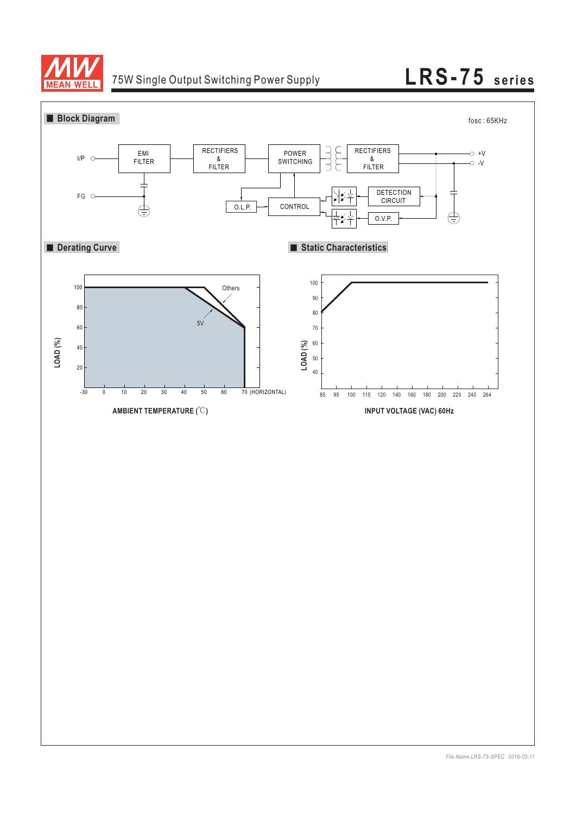

# 75W Single Output Switching Power Supply **LRS-75 series**